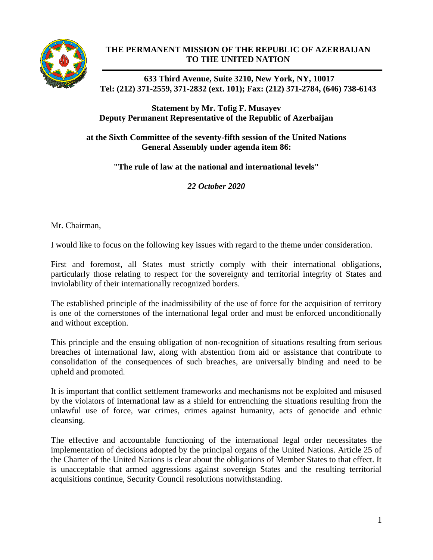

## **THE PERMANENT MISSION OF THE REPUBLIC OF AZERBAIJAN TO THE UNITED NATION**

**633 Third Avenue, Suite 3210, New York, NY, 10017 Tel: (212) 371-2559, 371-2832 (ext. 101); Fax: (212) 371-2784, (646) 738-6143**

**Statement by Mr. Tofig F. Musayev Deputy Permanent Representative of the Republic of Azerbaijan**

**at the Sixth Committee of the seventy-fifth session of the United Nations General Assembly under agenda item 86:** 

**"The rule of law at the national and international levels"**

*22 October 2020*

Mr. Chairman,

I would like to focus on the following key issues with regard to the theme under consideration.

First and foremost, all States must strictly comply with their international obligations, particularly those relating to respect for the sovereignty and territorial integrity of States and inviolability of their internationally recognized borders.

The established principle of the inadmissibility of the use of force for the acquisition of territory is one of the cornerstones of the international legal order and must be enforced unconditionally and without exception.

This principle and the ensuing obligation of non-recognition of situations resulting from serious breaches of international law, along with abstention from aid or assistance that contribute to consolidation of the consequences of such breaches, are universally binding and need to be upheld and promoted.

It is important that conflict settlement frameworks and mechanisms not be exploited and misused by the violators of international law as a shield for entrenching the situations resulting from the unlawful use of force, war crimes, crimes against humanity, acts of genocide and ethnic cleansing.

The effective and accountable functioning of the international legal order necessitates the implementation of decisions adopted by the principal organs of the United Nations. Article 25 of the Charter of the United Nations is clear about the obligations of Member States to that effect. It is unacceptable that armed aggressions against sovereign States and the resulting territorial acquisitions continue, Security Council resolutions notwithstanding.